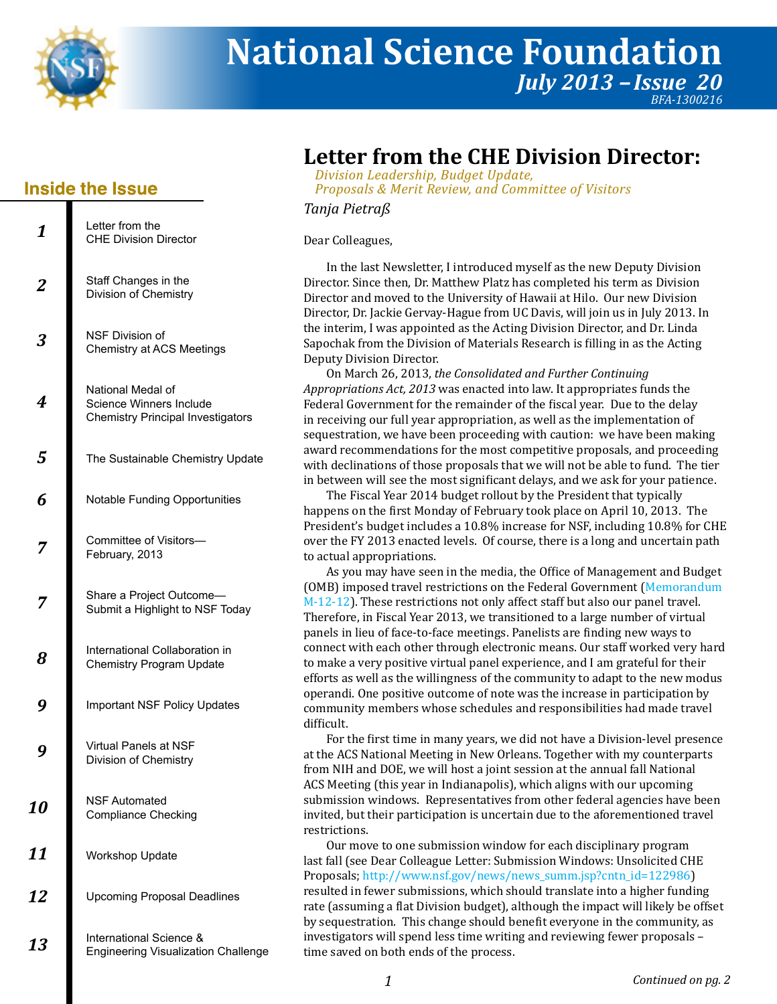

# **National Science Foundation** *July 2013 - Issue 20 BFA-1300216*

## **Inside the Issue**

| 1              | Letter from the<br><b>CHF Division Director</b>                                          |
|----------------|------------------------------------------------------------------------------------------|
| $\overline{2}$ | Staff Changes in the<br>Division of Chemistry                                            |
| 3              | <b>NSF Division of</b><br><b>Chemistry at ACS Meetings</b>                               |
| 4              | National Medal of<br>Science Winners Include<br><b>Chemistry Principal Investigators</b> |
| 5              | The Sustainable Chemistry Update                                                         |
| 6              | <b>Notable Funding Opportunities</b>                                                     |
| 7              | Committee of Visitors-<br>February, 2013                                                 |
| 7              | Share a Project Outcome-<br>Submit a Highlight to NSF Today                              |
| 8              | International Collaboration in<br><b>Chemistry Program Update</b>                        |
| 9              | <b>Important NSF Policy Updates</b>                                                      |
|                | Virtual Panels at NSF<br>Division of Chemistry                                           |
| 10             | NSF Automated<br><b>Compliance Checking</b>                                              |
| 11             | <b>Workshop Update</b>                                                                   |
| 12             | <b>Upcoming Proposal Deadlines</b>                                                       |
| 13             | International Science &<br><b>Engineering Visualization Challenge</b>                    |

# **Letter from the CHE Division Director:**

*Division Leadership, Budget Update, Proposals & Merit Review, and Committee of Visitors*

*Tanja Pietraß*

Dear Colleagues,

Direct or. Since then, Dr. Matthew Platz has complet ed his term as Division In the last Newsletter, I introduced myself as the new Deputy Division Dir ect or , Dr. Jackie Gerv ay-Hague fr om UC Da vis, will join us in Jul y 2013. In Direct or and mo ved to the Uni versity of Ha waii at Hilo. Our new Di vision the interim, I was appointed as the Acting Division Dir ector, and Dr . Linda Deputy Di . vision Dir ector Sapochak from the Division of Materials Research is filling in as the Acting

**On March 26, 2013, the Consolidated and Further Continuing** *A ppropriations Act, 2013* was enact ed into law. It appr opriat es funds the Federal Government for the r emainder of the fiscal y ear . Due t o the delay in r eceiving our full y ear appr opriation, as w ell as the implementation of sequestration, we have been proceeding with caution: we have been making  $\,$ award recommendations for the most competitive proposals, and proceeding with declinations of those pr oposals that we will not be able t o fund. The tier in between will see the most significant delays, and we ask for your patience.

happens on the first Monda y of February t ook place on April 10, 2013. The The Fiscal Year 2014 budget rollout by the President that typically President's budget includes a 10.8% increase for NSF, including 10.8% for CHE over the FY 2013 enacted levels. Of course, there is a long and uncertain path to actual appropriations.

As you may hav e seen in the media, the Office of Management and Budget [M-12-12](http://www.whitehouse.gov/sites/default/files/omb/memoranda/2012/m-12-12.pdf)). These restrictions not only affect staff but also our panel travel. (OMB) imposed travel restrictions on the Federal Government (Memorandum panels in lieu of face-to-face meetings. Panelists are finding new ways to Therefore, in Fiscal Y ear 2013, w e transitioned to a large number of virtual connect with each other thr ough electr onic means. Our staff w orked v ery har d to make a very positive virtual panel e xperience, and I am gr at eful for their eff orts as w ell as the willingness of the community t o adapt t o the new modus community members w hose schedules and r esponsibilities had made travel operandi. One positive outcome of note was the increase in participation by difficult .

at the A CS National Meeting in New Or leans. Together with m y count erparts For the first time in man y years, we did not ha ve a Division-le vel pr esence fr om NIH and DOE, w e will host a joint session at the annual fall National ACS Meeting (this year in Indianapolis), which aligns with our upcoming submission windows. Representatives from other federal agencies have been  $\,$  $\,$  invited, but their participation is uncertain due to the aforementioned travel restrictions.

Our move to one submission window for each disciplinary program Proposals; http://www.nsf.gov/new[s/news\\_summ.jsp?cntn\\_id=122986](http://www.nsf.gov/news/news_summ.jsp?cntn_id=122986)) last fall (see Dear Colleague Letter: Submission Windows: Unsolicited CHE r at e (assuming a flat Di vision budget), althoug h the impact will lik ely be offset resulted in fewer submissions, which should translate into a higher funding by sequestration. This change should benefit everyone in the community, as in vestigat ors will spend less time writing and r eviewing fewer proposals – time sa ved on both ends of the pr ocess.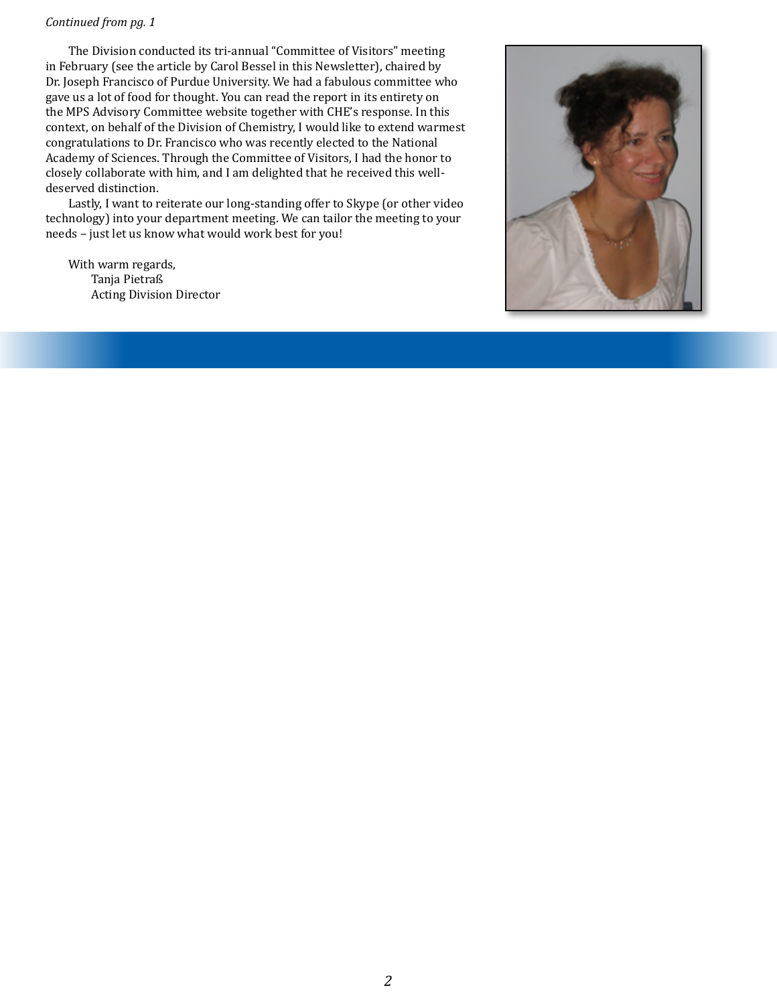#### *Continued from pg. 1*

in February (see the article by Carol Bessel in this Newsletter), chaired by The Division conducted its tri-annual "Committee of Visitors" meeting g av e us a lot of f ood for thoug ht . You can r ead the report in its entir ety on Dr. Joseph Francisco of Purdue University. We had a fabulous committee who the MPS A dvisory Committ ee websit e together with CHE's r esponse. In this context, on behalf of the Di vision of Chemistry , I w ould like to extend warmest A cadem y of Sciences. Thr ough the Committ ee of Visit ors, I had the honor t o congr atulations t o Dr. Francisco w ho was recentl y elect ed to the National closely collaborate with him, and I am delighted that he r eceiv ed this welldeserv ed distinction.

Lastl y, I want t o reiterate our long-standing off er to Skype (or other video technology) int o your department meeting. W e can tailor the meeting t o your needs – just let us know what would work best for you!

With w arm regards, Tanja Pietr aß Acting Division Dir ector

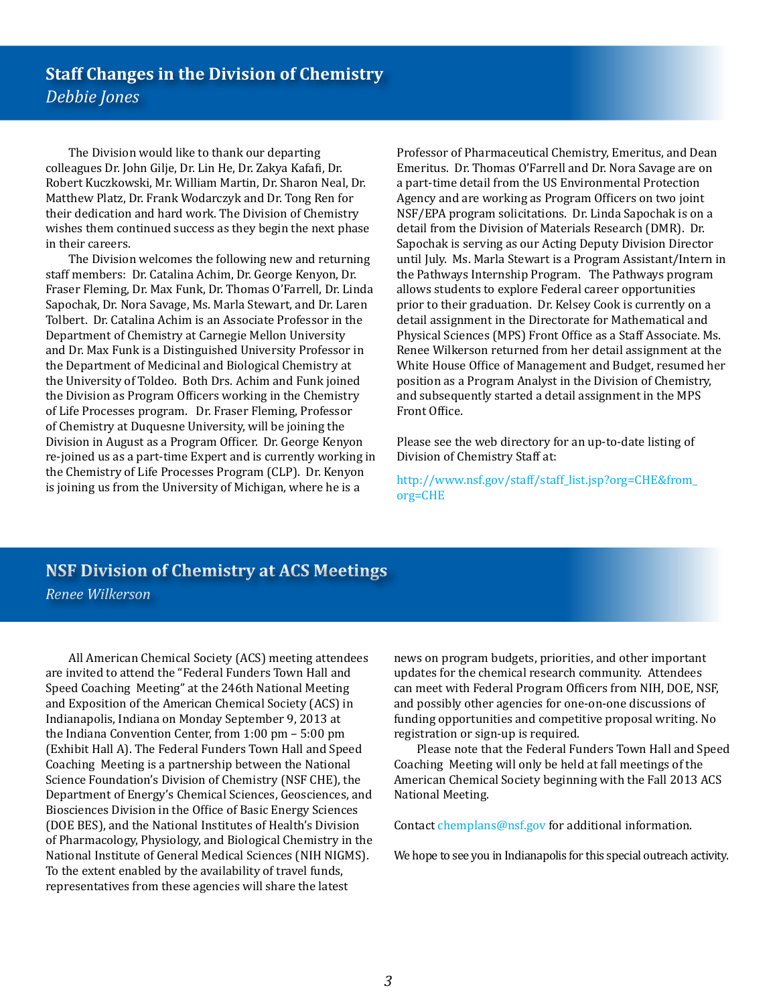The Division would like to thank our departing colleagues Dr. John Gilje, Dr. Lin He, Dr. Zakya Kafafi, Dr. Robert Kuczkowski, Mr. William Martin, Dr. Sharon Neal, Dr. Matthew Platz, Dr. Frank Wodarczyk and Dr. Tong Ren for their dedication and hard work. The Division of Chemistry wishes them continued success as they begin the next phase in their careers.

The Division welcomes the following new and returning staff members: Dr. Catalina Achim, Dr. George Kenyon, Dr. Fraser Fleming, Dr. Max Funk, Dr. Thomas O'Farrell, Dr. Linda Sapochak, Dr. Nora Savage, Ms. Marla Stewart, and Dr. Laren Tolbert. Dr. Catalina Achim is an Associate Professor in the Department of Chemistry at Carnegie Mellon University and Dr. Max Funk is a Distinguished University Professor in the Department of Medicinal and Biological Chemistry at the University of Toldeo. Both Drs. Achim and Funk joined the Division as Program Officers working in the Chemistry of Life Processes program. Dr. Fraser Fleming, Professor of Chemistry at Duquesne University, will be joining the Division in August as a Program Officer. Dr. George Kenyon re-joined us as a part-time Expert and is currently working in the Chemistry of Life Processes Program (CLP). Dr. Kenyon is joining us from the University of Michigan, where he is a

Professor of Pharmaceutical Chemistry, Emeritus, and Dean Emeritus. Dr. Thomas O'Farrell and Dr. Nora Savage are on a part-time detail from the US Environmental Protection Agency and are working as Program Officers on two joint NSF/EPA program solicitations. Dr. Linda Sapochak is on a detail from the Division of Materials Research (DMR). Dr. Sapochak is serving as our Acting Deputy Division Director until July. Ms. Marla Stewart is a Program Assistant/Intern in the Pathways Internship Program. The Pathways program allows students to explore Federal career opportunities prior to their graduation. Dr. Kelsey Cook is currently on a detail assignment in the Directorate for Mathematical and Physical Sciences (MPS) Front Office as a Staff Associate. Ms. Renee Wilkerson returned from her detail assignment at the White House Office of Management and Budget, resumed her position as a Program Analyst in the Division of Chemistry, and subsequently started a detail assignment in the MPS Front Office.

Please see the web directory for an up-to-date listing of Division of Chemistry Staff at:

http://www.nsf.gov/staff/staff\_list.jsp?org=CHE&from\_  $org=CHE$ 

# **NSF Division of Chemistry at ACS Meetings**

Renee Wilkerson

All American Chemical Society (ACS) meeting attendees are invited to attend the "Federal Funders Town Hall and Speed Coaching Meeting" at the 246th National Meeting and Exposition of the American Chemical Society (ACS) in Indianapolis, Indiana on Monday September 9, 2013 at the Indiana Convention Center, from  $1:00$  pm  $-5:00$  pm (Exhibit Hall A). The Federal Funders Town Hall and Speed Coaching Meeting is a partnership between the National Science Foundation's Division of Chemistry (NSF CHE), the Department of Energy's Chemical Sciences, Geosciences, and Biosciences Division in the Office of Basic Energy Sciences (DOE BES), and the National Institutes of Health's Division of Pharmacology, Physiology, and Biological Chemistry in the National Institute of General Medical Sciences (NIH NIGMS). To the extent enabled by the availability of travel funds, representatives from these agencies will share the latest

news on program budgets, priorities, and other important updates for the chemical research community. Attendees can meet with Federal Program Officers from NIH, DOE, NSF, and possibly other agencies for one-on-one discussions of funding opportunities and competitive proposal writing. No registration or sign-up is required.

Please note that the Federal Funders Town Hall and Speed Coaching Meeting will only be held at fall meetings of the American Chemical Society beginning with the Fall 2013 ACS National Meeting.

Contact chemplans@nsf.gov for additional information.

We hope to see you in Indianapolis for this special outreach activity.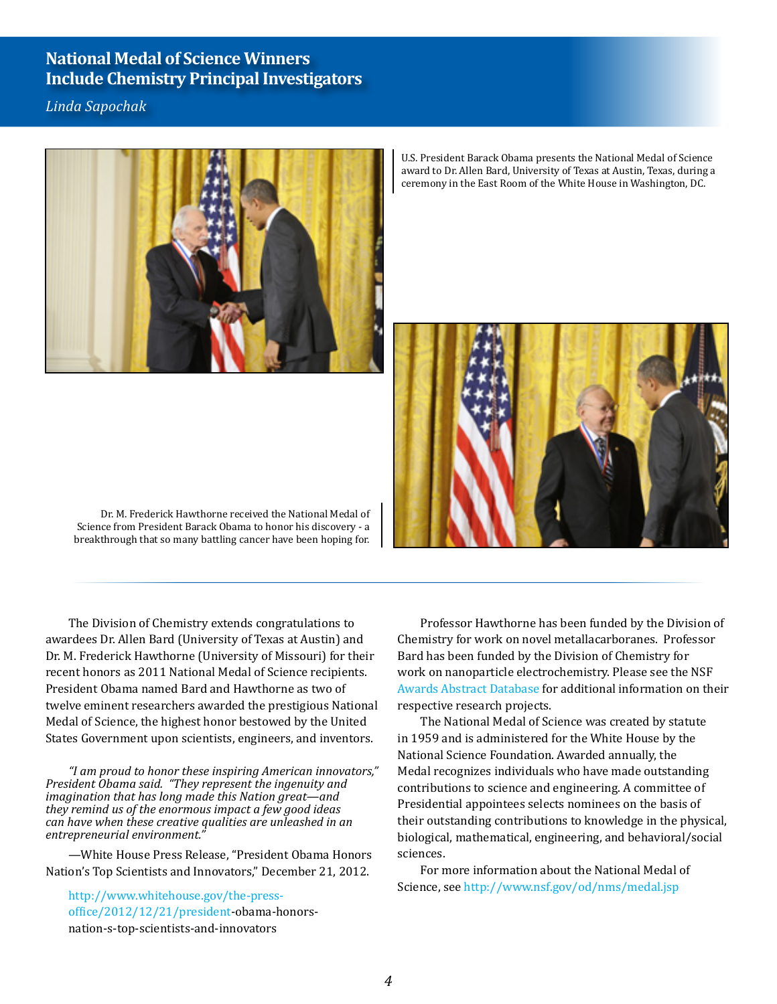### **National Medal of Science Winners Include Chemistry Principal Investigators**

Linda Sapochak



U.S. President Barack Obama presents the National Medal of Science award to Dr. Allen Bard, University of Texas at Austin, Texas, during a ceremony in the East Room of the White House in Washington, DC.



Dr. M. Frederick Hawthorne received the National Medal of Science from President Barack Obama to honor his discovery - a breakthrough that so many battling cancer have been hoping for.

The Division of Chemistry extends congratulations to awardees Dr. Allen Bard (University of Texas at Austin) and Dr. M. Frederick Hawthorne (University of Missouri) for their recent honors as 2011 National Medal of Science recipients. President Obama named Bard and Hawthorne as two of twelve eminent researchers awarded the prestigious National Medal of Science, the highest honor bestowed by the United States Government upon scientists, engineers, and inventors.

"I am proud to honor these inspiring American innovators," President Obama said. "They represent the ingenuity and imagination that has long made this Nation great—and they remind us of the enormous impact a few good ideas can have when these creative qualities are unleashed in an entrepreneurial environment.

—White House Press Release, "President Obama Honors Nation's Top Scientists and Innovators," December 21, 2012.

http://www.whitehouse.gov/the-pressoffice/2012/12/21/president-obama-honorsnation-s-top-scientists-and-innovators

Professor Hawthorne has been funded by the Division of Chemistry for work on novel metallacarboranes. Professor Bard has been funded by the Division of Chemistry for work on nanoparticle electrochemistry. Please see the NSF Awards Abstract Database for additional information on their respective research projects.

The National Medal of Science was created by statute in 1959 and is administered for the White House by the National Science Foundation. Awarded annually, the Medal recognizes individuals who have made outstanding contributions to science and engineering. A committee of Presidential appointees selects nominees on the basis of their outstanding contributions to knowledge in the physical, biological, mathematical, engineering, and behavioral/social sciences.

For more information about the National Medal of Science, see http://www.nsf.gov/od/nms/medal.jsp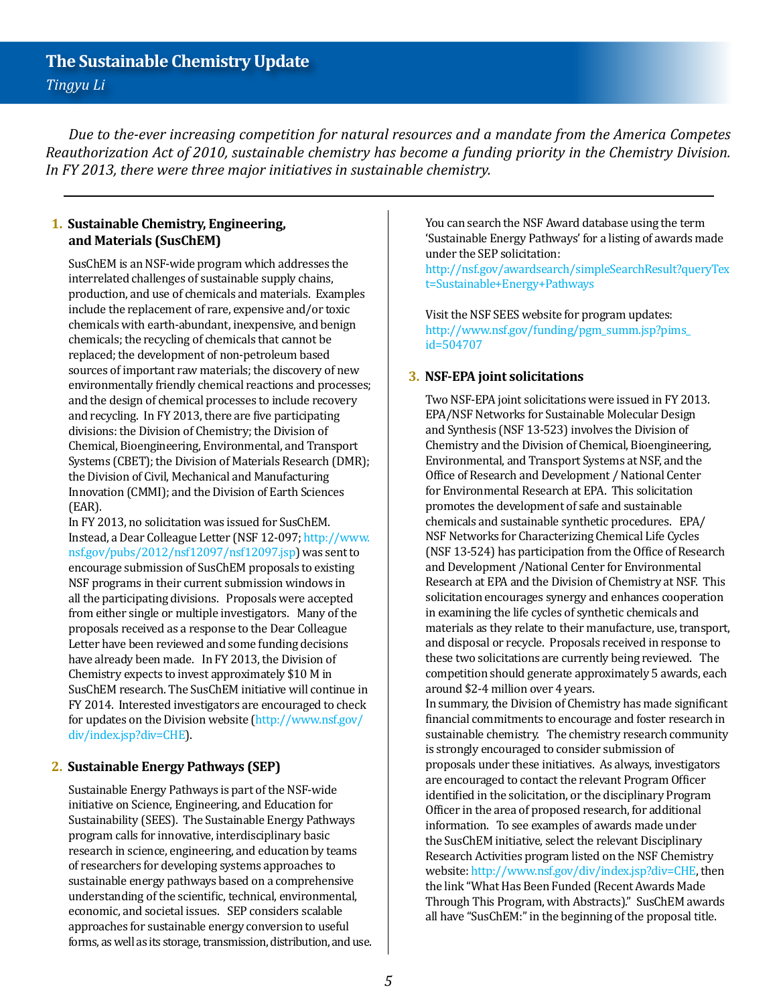*Due to the-ever increasing competition for natural resources and a mandate from the America Competes Reauthorization Act of 2010, sustainable chemistry has become a funding priority in the Chemistry Division. In FY 2013, there were three major initiatives in sustainable chemistry.* 

#### **1. Sustainable Chemistry, Engineering, and Materials (SusChEM)**

SusChEM is an NSF-wide program which addresses the interrelated challenges of sustainable supply chains, production, and use of chemicals and materials. Examples include the replacement of rare, expensive and/or toxic chemicals with earth-abundant, inexpensive, and benign chemicals; the recycling of chemicals that cannot be replaced; the development of non-petroleum based sources of important raw materials; the discovery of new environmentally friendly chemical reactions and processes; and the design of chemical processes to include recovery and recycling. In FY 2013, there are five participating divisions: the Division of Chemistry; the Division of Chemical, Bioengineering, Environmental, and Transport Systems (CBET); the Division of Materials Research (DMR); the Division of Civil, Mechanical and Manufacturing Innovation (CMMI); and the Division of Earth Sciences (EAR).

In FY 2013, no solicitation was issued for SusChEM. Instead, a Dear Colleague Letter (NSF 12-097; [http://www.](http://www.nsf.gov/pubs/2012/nsf12097/nsf12097.jsp) [nsf.gov/pubs/2012/nsf12097/nsf12097.jsp](http://www.nsf.gov/pubs/2012/nsf12097/nsf12097.jsp)) was sent to encourage submission of SusChEM proposals to existing NSF programs in their current submission windows in all the participating divisions. Proposals were accepted from either single or multiple investigators. Many of the proposals received as a response to the Dear Colleague Letter have been reviewed and some funding decisions have already been made. In FY 2013, the Division of Chemistry expects to invest approximately \$10 M in SusChEM research. The SusChEM initiative will continue in FY 2014. Interested investigators are encouraged to check for updates on the Division website [\(http://www.nsf.gov/](http://www.nsf.gov/div/index.jsp?div=CHE ) [div/index.jsp?div=CHE](http://www.nsf.gov/div/index.jsp?div=CHE )).

#### **2. Sustainable Energy Pathways (SEP)**

Sustainable Energy Pathways is part of the NSF-wide initiative on Science, Engineering, and Education for Sustainability (SEES). The Sustainable Energy Pathways program calls for innovative, interdisciplinary basic research in science, engineering, and education by teams of researchers for developing systems approaches to sustainable energy pathways based on a comprehensive understanding of the scientific, technical, environmental, economic, and societal issues. SEP considers scalable approaches for sustainable energy conversion to useful forms, as well as its storage, transmission, distribution, and use. You can search the NSF Award database using the term 'Sustainable Energy Pathways' for a listing of awards made under the SEP solicitation:

[http://nsf.gov/awardsearch/simpleSearchResult?queryTex](http://nsf.gov/awardsearch/simpleSearchResult?queryText=Sustainable+Energy+Pathways) [t=Sustainable+Energy+Pathways](http://nsf.gov/awardsearch/simpleSearchResult?queryText=Sustainable+Energy+Pathways)

Visit the NSF SEES website for program updates: [http://www.nsf.gov/funding/pgm\\_summ.jsp?pims\\_](http://www.nsf.gov/funding/pgm_summ.jsp?pims_id=504707) [id=504707](http://www.nsf.gov/funding/pgm_summ.jsp?pims_id=504707) 

#### **3. NSF-EPA joint solicitations**

Two NSF-EPA joint solicitations were issued in FY 2013. EPA/NSF Networks for Sustainable Molecular Design and Synthesis (NSF 13-523) involves the Division of Chemistry and the Division of Chemical, Bioengineering, Environmental, and Transport Systems at NSF, and the Office of Research and Development / National Center for Environmental Research at EPA. This solicitation promotes the development of safe and sustainable chemicals and sustainable synthetic procedures. EPA/ NSF Networks for Characterizing Chemical Life Cycles (NSF 13-524) has participation from the Office of Research and Development /National Center for Environmental Research at EPA and the Division of Chemistry at NSF. This solicitation encourages synergy and enhances cooperation in examining the life cycles of synthetic chemicals and materials as they relate to their manufacture, use, transport, and disposal or recycle. Proposals received in response to these two solicitations are currently being reviewed. The competition should generate approximately 5 awards, each around \$2-4 million over 4 years.

In summary, the Division of Chemistry has made significant financial commitments to encourage and foster research in sustainable chemistry. The chemistry research community is strongly encouraged to consider submission of proposals under these initiatives. As always, investigators are encouraged to contact the relevant Program Officer identified in the solicitation, or the disciplinary Program Officer in the area of proposed research, for additional information. To see examples of awards made under the SusChEM initiative, select the relevant Disciplinary Research Activities program listed on the NSF Chemistry website:<http://www.nsf.gov/div/index.jsp?div=CHE,>then the link "What Has Been Funded (Recent Awards Made Through This Program, with Abstracts)." SusChEM awards all have "SusChEM:" in the beginning of the proposal title.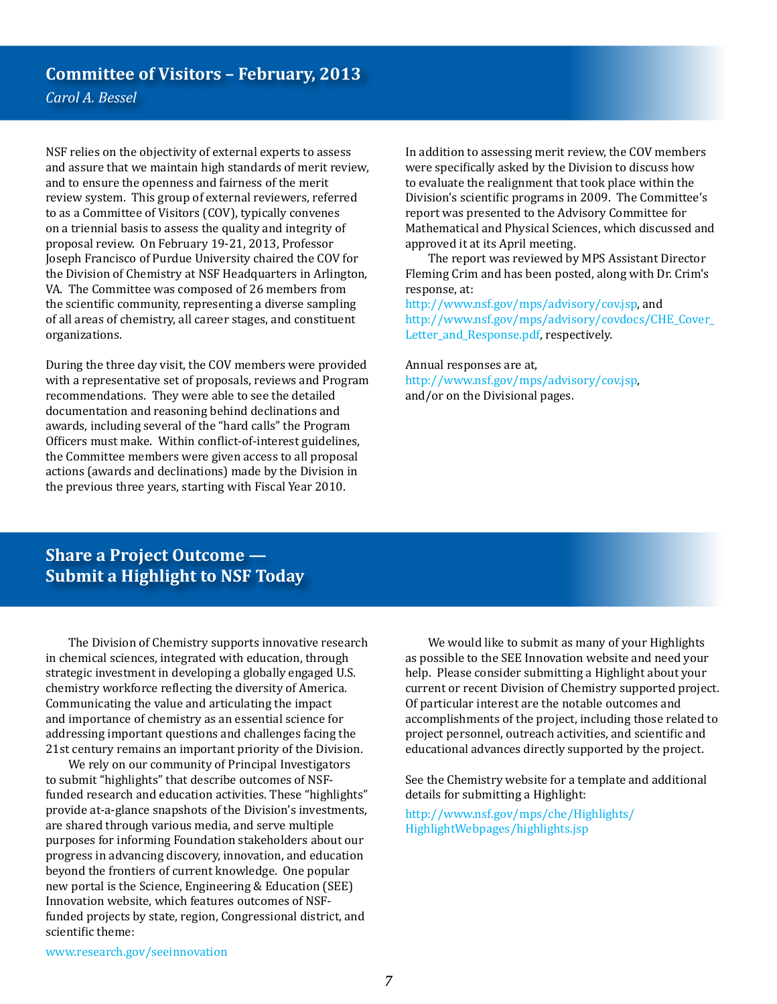## **Committee of Visitors – February, 2013**

*Carol A. Bessel*

NSF relies on the objectivity of external experts to assess and assure that we maintain high standards of merit review, and to ensure the openness and fairness of the merit review system. This group of external reviewers, referred to as a Committee of Visitors (COV), typically convenes on a triennial basis to assess the quality and integrity of proposal review. On February 19-21, 2013, Professor Joseph Francisco of Purdue University chaired the COV for the Division of Chemistry at NSF Headquarters in Arlington, VA. The Committee was composed of 26 members from the scientific community, representing a diverse sampling of all areas of chemistry, all career stages, and constituent organizations.

During the three day visit, the COV members were provided with a representative set of proposals, reviews and Program recommendations. They were able to see the detailed documentation and reasoning behind declinations and awards, including several of the "hard calls" the Program Officers must make. Within conflict-of-interest guidelines, the Committee members were given access to all proposal actions (awards and declinations) made by the Division in the previous three years, starting with Fiscal Year 2010.

In addition to assessing merit review, the COV members were specifically asked by the Division to discuss how to evaluate the realignment that took place within the Division's scientific programs in 2009. The Committee's report was presented to the Advisory Committee for Mathematical and Physical Sciences, which discussed and approved it at its April meeting.

The report was reviewed by MPS Assistant Director Fleming Crim and has been posted, along with Dr. Crim's response, at:

<http://www.nsf.gov/mps/advisory/cov.jsp>, and [http://www.nsf.gov/mps/advisory/covdocs/CHE\\_Cover\\_](http://www.nsf.gov/mps/advisory/covdocs/CHE_Cover_Letter_and_Response.pdf) [Letter\\_and\\_Response.pdf,](http://www.nsf.gov/mps/advisory/covdocs/CHE_Cover_Letter_and_Response.pdf) respectively.

#### Annual responses are at,

<http://www.nsf.gov/mps/advisory/cov.jsp>, and/or on the Divisional pages.

**Share a Project Outcome — Submit a Highlight to NSF Today**

The Division of Chemistry supports innovative research in chemical sciences, integrated with education, through strategic investment in developing a globally engaged U.S. chemistry workforce reflecting the diversity of America. Communicating the value and articulating the impact and importance of chemistry as an essential science for addressing important questions and challenges facing the 21st century remains an important priority of the Division.

We rely on our community of Principal Investigators to submit "highlights" that describe outcomes of NSFfunded research and education activities. These "highlights" provide at-a-glance snapshots of the Division's investments, are shared through various media, and serve multiple purposes for informing Foundation stakeholders about our progress in advancing discovery, innovation, and education beyond the frontiers of current knowledge. One popular new portal is the Science, Engineering & Education (SEE) Innovation website, which features outcomes of NSFfunded projects by state, region, Congressional district, and scientific theme:

We would like to submit as many of your Highlights as possible to the SEE Innovation website and need your help. Please consider submitting a Highlight about your current or recent Division of Chemistry supported project. Of particular interest are the notable outcomes and accomplishments of the project, including those related to project personnel, outreach activities, and scientific and educational advances directly supported by the project.

See the Chemistry website for a template and additional details for submitting a Highlight:

[http://www.nsf.gov/mps/che/Highlights/](http://www.nsf.gov/mps/che/Highlights/HighlightWebpages/highlights.jsp) [HighlightWebpages/highlights.jsp](http://www.nsf.gov/mps/che/Highlights/HighlightWebpages/highlights.jsp)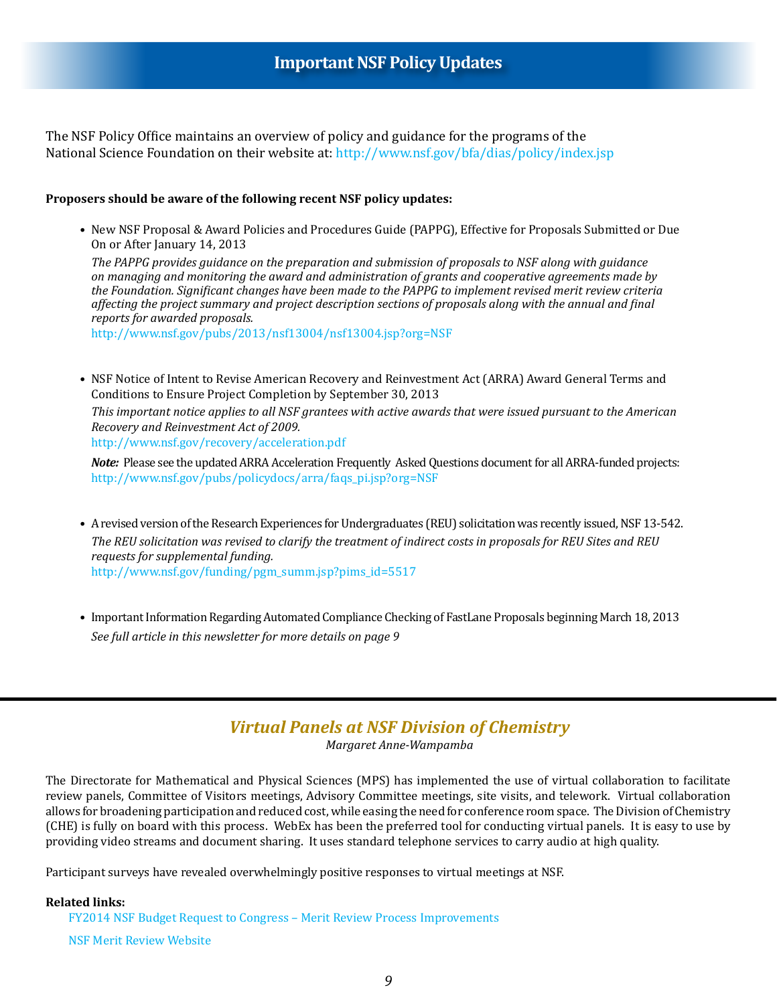## **Important NSF Policy Updates**

The NSF Policy Office maintains an overview of policy and guidance for the programs of the National Science Foundation on their website at:<http://www.nsf.gov/bfa/dias/policy/index.jsp>

#### **Proposers should be aware of the following recent NSF policy updates:**

•New NSF Proposal & Award Policies and Procedures Guide (PAPPG), Effective for Proposals Submitted or Due On or After January 14, 2013

*The PAPPG provides guidance on the preparation and submission of proposals to NSF along with guidance on managing and monitoring the award and administration of grants and cooperative agreements made by the Foundation. Significant changes have been made to the PAPPG to implement revised merit review criteria affecting the project summary and project description sections of proposals along with the annual and final reports for awarded proposals.*

<http://www.nsf.gov/pubs/2013/nsf13004/nsf13004.jsp?org=NSF>

• NSF Notice of Intent to Revise American Recovery and Reinvestment Act (ARRA) Award General Terms and Conditions to Ensure Project Completion by September 30, 2013

*This important notice applies to all NSF grantees with active awards that were issued pursuant to the American Recovery and Reinvestment Act of 2009.*

<http://www.nsf.gov/recovery/acceleration.pdf>

*Note:* Please see the updated ARRA Acceleration Frequently Asked Questions document for all ARRA-funded projects: [http://www.nsf.gov/pubs/policydocs/arra/faqs\\_pi.jsp?org=NSF](http://www.nsf.gov/pubs/policydocs/arra/faqs_pi.jsp?org=NSF)

- A revised version of the Research Experiences for Undergraduates (REU) solicitation was recently issued, NSF 13-542. *The REU solicitation was revised to clarify the treatment of indirect costs in proposals for REU Sites and REU requests for supplemental funding.* [http://www.nsf.gov/funding/pgm\\_summ.jsp?pims\\_id=5517](http://www.nsf.gov/funding/pgm_summ.jsp?pims_id=5517)
- Important Information Regarding Automated Compliance Checking of FastLane Proposals beginning March 18, 2013 *See full article in this newsletter for more details on page 9*

## *Virtual Panels at NSF Division of Chemistry*

*Margaret Anne-Wampamba*

The Directorate for Mathematical and Physical Sciences (MPS) has implemented the use of virtual collaboration to facilitate review panels, Committee of Visitors meetings, Advisory Committee meetings, site visits, and telework. Virtual collaboration allows for broadening participation and reduced cost, while easing the need for conference room space. The Division of Chemistry (CHE) is fully on board with this process. WebEx has been the preferred tool for conducting virtual panels. It is easy to use by providing video streams and document sharing. It uses standard telephone services to carry audio at high quality.

Participant surveys have revealed overwhelmingly positive responses to virtual meetings at NSF.

#### **Related links:**

[FY2014 NSF Budget Request to Congress – Merit Review Process Improvements](http://www.nsf.gov/about/budget/fy2014/pdf/43_fy2014.pdf) [NSF Merit Review Website](http://www.nsf.gov/eng/iip/sbir/virtual_panelist.jsp)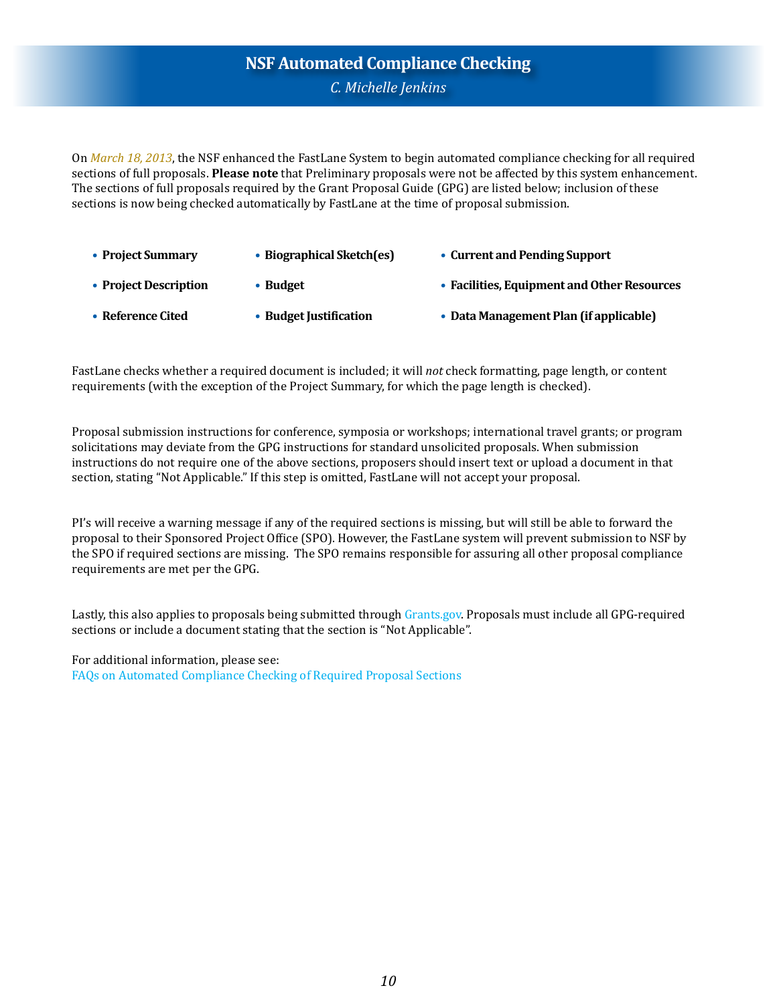## **NSF Automated Compliance Checking** *C. Michelle Jenkins*

On *March 18, 2013*, the NSF enhanced the FastLane System to begin automated compliance checking for all required sections of full proposals. **Please note** that Preliminary proposals were not be affected by this system enhancement. The sections of full proposals required by the Grant Proposal Guide (GPG) are listed below; inclusion of these sections is now being checked automatically by FastLane at the time of proposal submission.

- **• Project Summary • Biographical Sketch(es) • Current and Pending Support**
- **• Project Description • Budget • Facilities, Equipment and Other Resources**
- **Reference Cited • Budget Justification • Data Management Plan (if applicable)**

FastLane checks whether a required document is included; it will *not* check formatting, page length, or content requirements (with the exception of the Project Summary, for which the page length is checked).

Proposal submission instructions for conference, symposia or workshops; international travel grants; or program solicitations may deviate from the GPG instructions for standard unsolicited proposals. When submission instructions do not require one of the above sections, proposers should insert text or upload a document in that section, stating "Not Applicable." If this step is omitted, FastLane will not accept your proposal.

PI's will receive a warning message if any of the required sections is missing, but will still be able to forward the proposal to their Sponsored Project Office (SPO). However, the FastLane system will prevent submission to NSF by the SPO if required sections are missing. The SPO remains responsible for assuring all other proposal compliance requirements are met per the GPG.

Lastly, this also applies to proposals being submitted through [Grants.gov.](Grants.gov) Proposals must include all GPG-required sections or include a document stating that the section is "Not Applicable".

For additional information, please see: [FAQs on Automated Compliance Checking of Required Proposal Sections](http://www.nsf.gov/bfa/dias/policy/autocheck/faqs_march13.pdf)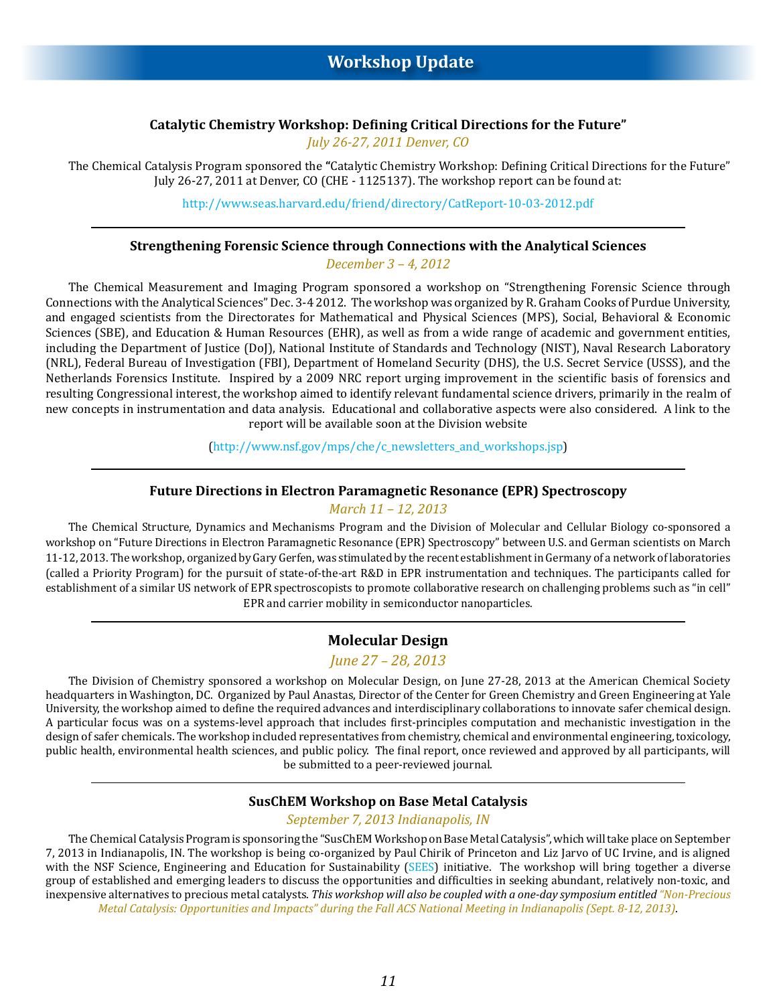#### **Catalytic Chemistry Workshop: Defining Critical Directions for the Future"**

*July 26-27, 2011 Denver, CO*

The Chemical Catalysis Program sponsored the **"**Catalytic Chemistry Workshop: Defining Critical Directions for the Future" July 26-27, 2011 at Denver, CO (CHE - 1125137). The workshop report can be found at:

<http://www.seas.harvard.edu/friend/directory/CatReport-10-03-2012.pdf>

#### **Strengthening Forensic Science through Connections with the Analytical Sciences**

*December 3 – 4, 2012* 

The Chemical Measurement and Imaging Program sponsored a workshop on "Strengthening Forensic Science through Connections with the Analytical Sciences" Dec. 3-4 2012. The workshop was organized by R. Graham Cooks of Purdue University, and engaged scientists from the Directorates for Mathematical and Physical Sciences (MPS), Social, Behavioral & Economic Sciences (SBE), and Education & Human Resources (EHR), as well as from a wide range of academic and government entities, including the Department of Justice (DoJ), National Institute of Standards and Technology (NIST), Naval Research Laboratory (NRL), Federal Bureau of Investigation (FBI), Department of Homeland Security (DHS), the U.S. Secret Service (USSS), and the Netherlands Forensics Institute. Inspired by a 2009 NRC report urging improvement in the scientific basis of forensics and resulting Congressional interest, the workshop aimed to identify relevant fundamental science drivers, primarily in the realm of new concepts in instrumentation and data analysis. Educational and collaborative aspects were also considered. A link to the report will be available soon at the Division website

[\(http://www.nsf.gov/mps/che/c\\_newsletters\\_and\\_workshops.jsp](http://www.nsf.gov/mps/che/c_newsletters_and_workshops.jsp))

#### **Future Directions in Electron Paramagnetic Resonance (EPR) Spectroscopy**

*March 11 – 12, 2013*

The Chemical Structure, Dynamics and Mechanisms Program and the Division of Molecular and Cellular Biology co-sponsored a workshop on "Future Directions in Electron Paramagnetic Resonance (EPR) Spectroscopy" between U.S. and German scientists on March 11-12, 2013. The workshop, organized by Gary Gerfen, was stimulated by the recent establishment in Germany of a network of laboratories (called a Priority Program) for the pursuit of state-of-the-art R&D in EPR instrumentation and techniques. The participants called for establishment of a similar US network of EPR spectroscopists to promote collaborative research on challenging problems such as "in cell" EPR and carrier mobility in semiconductor nanoparticles.

#### **Molecular Design**

*June 27 – 28, 2013*

The Division of Chemistry sponsored a workshop on Molecular Design, on June 27-28, 2013 at the American Chemical Society headquarters in Washington, DC. Organized by Paul Anastas, Director of the Center for Green Chemistry and Green Engineering at Yale University, the workshop aimed to define the required advances and interdisciplinary collaborations to innovate safer chemical design. A particular focus was on a systems-level approach that includes first-principles computation and mechanistic investigation in the design of safer chemicals. The workshop included representatives from chemistry, chemical and environmental engineering, toxicology, public health, environmental health sciences, and public policy. The final report, once reviewed and approved by all participants, will be submitted to a peer-reviewed journal.

#### **SusChEM Workshop on Base Metal Catalysis**

#### *September 7, 2013 Indianapolis, IN*

The Chemical Catalysis Program is sponsoring the "SusChEM Workshop on Base Metal Catalysis", which will take place on September 7, 2013 in Indianapolis, IN. The workshop is being co-organized by Paul Chirik of Princeton and Liz Jarvo of UC Irvine, and is aligned with the NSF Science, Engineering and Education for Sustainability [\(SEES](http://www.nsf.gov/funding/pgm_summ.jsp%3Fpims_id%3D504707)) initiative. The workshop will bring together a diverse group of established and emerging leaders to discuss the opportunities and difficulties in seeking abundant, relatively non-toxic, and inexpensive alternatives to precious metal catalysts. *This workshop will also be coupled with a one-day symposium entitled "Non-Precious Metal Catalysis: Opportunities and Impacts" during the Fall ACS National Meeting in Indianapolis (Sept. 8-12, 2013)*.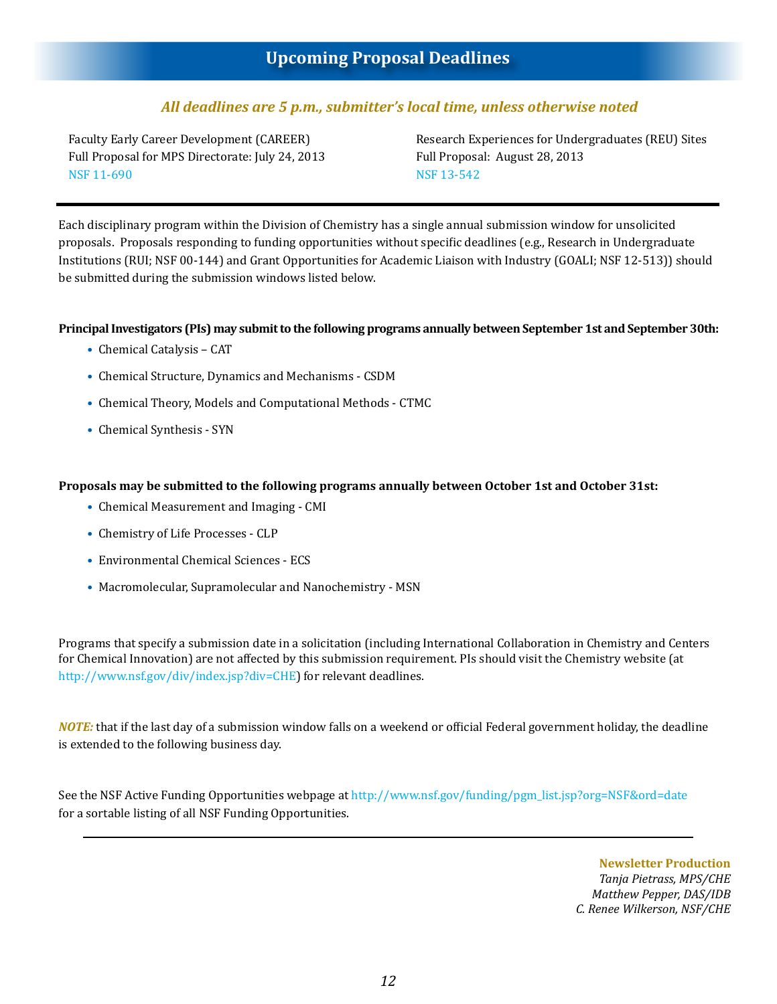## *All deadlines are 5 p.m., submitter's local time, unless otherwise noted*

Faculty Early Career Development (CAREER) Full Proposal for MPS Directorate: July 24, 2013 [NSF 11-690](https://www.nsf.gov/publications/pub_summ.jsp%3Forg%3DNSF%26ods_key%3Dnsf11690)

Research Experiences for Undergraduates (REU) Sites Full Proposal: August 28, 2013 [NSF 13-542](https://www.nsf.gov/funding/pgm_summ.jsp%3Fpims_id%3D5517%26from%3Dfund)

Each disciplinary program within the Division of Chemistry has a single annual submission window for unsolicited proposals. Proposals responding to funding opportunities without specific deadlines (e.g., Research in Undergraduate Institutions (RUI; NSF 00-144) and Grant Opportunities for Academic Liaison with Industry (GOALI; NSF 12-513)) should be submitted during the submission windows listed below.

#### **Principal Investigators (PIs) may submit to the following programs annually between September 1st and September 30th:**

- Chemical Catalysis CAT
- Chemical Structure, Dynamics and Mechanisms CSDM
- Chemical Theory, Models and Computational Methods CTMC
- Chemical Synthesis SYN

#### **Proposals may be submitted to the following programs annually between October 1st and October 31st:**

- Chemical Measurement and Imaging CMI
- Chemistry of Life Processes CLP
- Environmental Chemical Sciences ECS
- Macromolecular, Supramolecular and Nanochemistry MSN

Programs that specify a submission date in a solicitation (including International Collaboration in Chemistry and Centers for Chemical Innovation) are not affected by this submission requirement. PIs should visit the Chemistry website (at [http://www.nsf.gov/div/index.jsp?div=CHE](http://www.nsf.gov/div/index.jsp?div=CHE )) for relevant deadlines.

*NOTE:* that if the last day of a submission window falls on a weekend or official Federal government holiday, the deadline is extended to the following business day.

See the NSF Active Funding Opportunities webpage at [http://www.nsf.gov/funding/pgm\\_list.jsp?org=NSF&ord=date](http://www.nsf.gov/funding/pgm_list.jsp?org=NSF&ord=date) for a sortable listing of all NSF Funding Opportunities.

> **Newsletter Production** *Tanja Pietrass, MPS/CHE Matthew Pepper, DAS/IDB C. Renee Wilkerson, NSF/CHE*